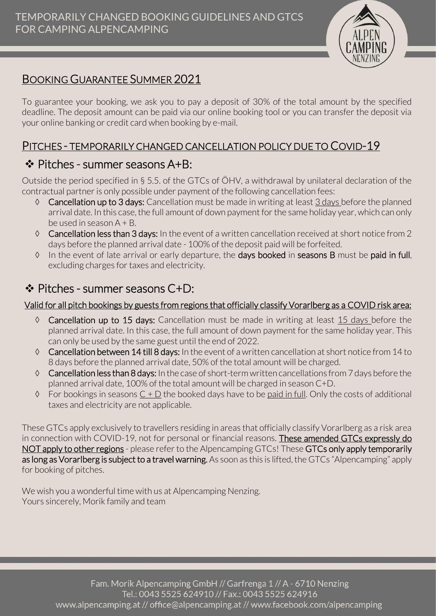

# BOOKING GUARANTEE SUMMER 2021

To guarantee your booking, we ask you to pay a deposit of 30% of the total amount by the specified deadline. The deposit amount can be paid via our online booking tool or you can transfer the deposit via your online banking or credit card when booking by e-mail.

#### PITCHES - TEMPORARILY CHANGED CANCELLATION POLICY DUE TO COVID-19

### ❖ Pitches - summer seasons A+B:

Outside the period specified in § 5.5. of the GTCs of ÖHV, a withdrawal by unilateral declaration of the contractual partner is only possible under payment of the following cancellation fees:

- $\Diamond$  Cancellation up to 3 days: Cancellation must be made in writing at least 3 days before the planned arrival date. In this case, the full amount of down payment for the same holiday year, which can only be used in season A + B.
- Cancellation less than 3 days: In the event of a written cancellation received at short notice from 2 days before the planned arrival date - 100% of the deposit paid will be forfeited.
- In the event of late arrival or early departure, the days booked in seasons B must be paid in full, excluding charges for taxes and electricity.

## ❖ Pitches - summer seasons C+D:

#### Valid for all pitch bookings by guests from regions that officially classify Vorarlberg as a COVID risk area:

- $\Diamond$  Cancellation up to 15 days: Cancellation must be made in writing at least 15 days before the planned arrival date. In this case, the full amount of down payment for the same holiday year. This can only be used by the same guest until the end of 2022.
- $\lozenge$  Cancellation between 14 till 8 days: In the event of a written cancellation at short notice from 14 to 8 days before the planned arrival date, 50% of the total amount will be charged.
- Cancellation less than 8 days: In the case of short-term written cancellations from 7 days before the planned arrival date, 100% of the total amount will be charged in season C+D.
- $\Diamond$  For bookings in seasons  $C + D$  the booked days have to be paid in full. Only the costs of additional taxes and electricity are not applicable.

These GTCs apply exclusively to travellers residing in areas that officially classify Vorarlberg as a risk area in connection with COVID-19, not for personal or financial reasons. These amended GTCs expressly do NOT apply to other regions - please refer to the Alpencamping GTCs! These GTCs only apply temporarily as long as Vorarlberg is subject to a travel warning. As soon as this is lifted, the GTCs "Alpencamping" apply for booking of pitches.

We wish you a wonderful time with us at Alpencamping Nenzing. Yours sincerely, Morik family and team